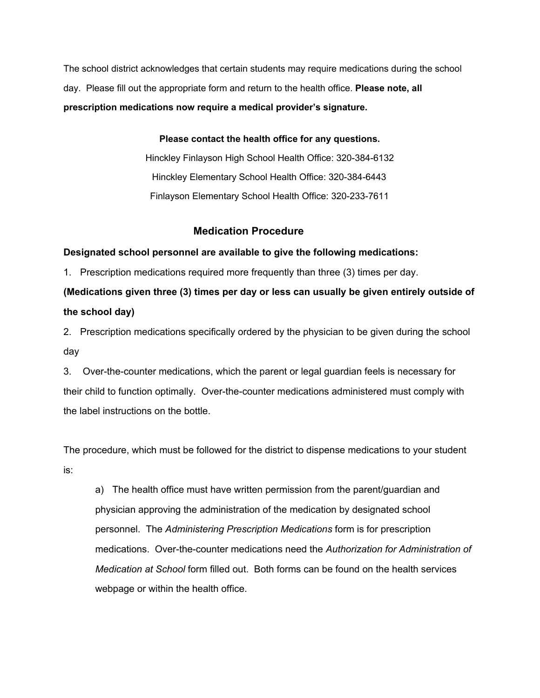The school district acknowledges that certain students may require medications during the school day. Please fill out the appropriate form and return to the health office. **Please note, all prescription medications now require a medical provider's signature.**

**Please contact the health office for any questions.**

Hinckley Finlayson High School Health Office: 320-384-6132 Hinckley Elementary School Health Office: 320-384-6443 Finlayson Elementary School Health Office: 320-233-7611

## **Medication Procedure**

## **Designated school personnel are available to give the following medications:**

1. Prescription medications required more frequently than three (3) times per day.

## **(Medications given three (3) times per day or less can usually be given entirely outside of the school day)**

2. Prescription medications specifically ordered by the physician to be given during the school day

3. Over-the-counter medications, which the parent or legal guardian feels is necessary for their child to function optimally. Over-the-counter medications administered must comply with the label instructions on the bottle.

The procedure, which must be followed for the district to dispense medications to your student is:

a) The health office must have written permission from the parent/guardian and physician approving the administration of the medication by designated school personnel. The *Administering Prescription Medications* form is for prescription medications. Over-the-counter medications need the *Authorization for Administration of Medication at School* form filled out. Both forms can be found on the health services webpage or within the health office.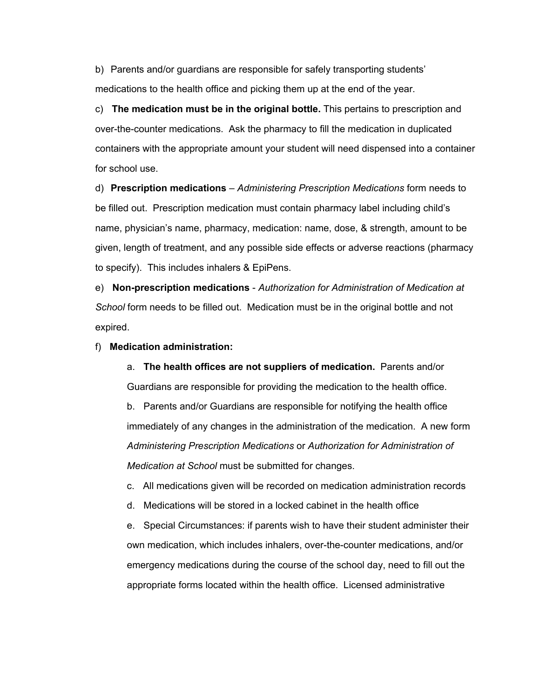b) Parents and/or guardians are responsible for safely transporting students' medications to the health office and picking them up at the end of the year.

c) **The medication must be in the original bottle.** This pertains to prescription and over-the-counter medications. Ask the pharmacy to fill the medication in duplicated containers with the appropriate amount your student will need dispensed into a container for school use.

d) **Prescription medications** – *Administering Prescription Medications* form needs to be filled out. Prescription medication must contain pharmacy label including child's name, physician's name, pharmacy, medication: name, dose, & strength, amount to be given, length of treatment, and any possible side effects or adverse reactions (pharmacy to specify). This includes inhalers & EpiPens.

e) **Non-prescription medications** - *Authorization for Administration of Medication at School* form needs to be filled out. Medication must be in the original bottle and not expired.

f) **Medication administration:**

a. **The health offices are not suppliers of medication.** Parents and/or Guardians are responsible for providing the medication to the health office. b. Parents and/or Guardians are responsible for notifying the health office immediately of any changes in the administration of the medication. A new form *Administering Prescription Medications* or *Authorization for Administration of*

*Medication at School* must be submitted for changes.

c. All medications given will be recorded on medication administration records

d. Medications will be stored in a locked cabinet in the health office

e. Special Circumstances: if parents wish to have their student administer their own medication, which includes inhalers, over-the-counter medications, and/or emergency medications during the course of the school day, need to fill out the appropriate forms located within the health office. Licensed administrative